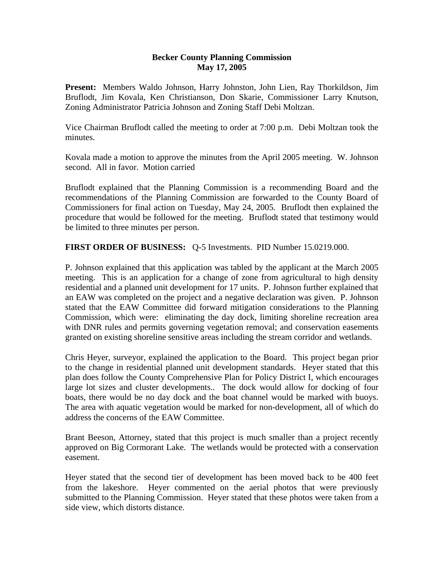## **Becker County Planning Commission May 17, 2005**

**Present:** Members Waldo Johnson, Harry Johnston, John Lien, Ray Thorkildson, Jim Bruflodt, Jim Kovala, Ken Christianson, Don Skarie, Commissioner Larry Knutson, Zoning Administrator Patricia Johnson and Zoning Staff Debi Moltzan.

Vice Chairman Bruflodt called the meeting to order at 7:00 p.m. Debi Moltzan took the minutes.

Kovala made a motion to approve the minutes from the April 2005 meeting. W. Johnson second. All in favor. Motion carried

Bruflodt explained that the Planning Commission is a recommending Board and the recommendations of the Planning Commission are forwarded to the County Board of Commissioners for final action on Tuesday, May 24, 2005. Bruflodt then explained the procedure that would be followed for the meeting. Bruflodt stated that testimony would be limited to three minutes per person.

**FIRST ORDER OF BUSINESS:** Q-5 Investments. PID Number 15.0219.000.

P. Johnson explained that this application was tabled by the applicant at the March 2005 meeting. This is an application for a change of zone from agricultural to high density residential and a planned unit development for 17 units. P. Johnson further explained that an EAW was completed on the project and a negative declaration was given. P. Johnson stated that the EAW Committee did forward mitigation considerations to the Planning Commission, which were: eliminating the day dock, limiting shoreline recreation area with DNR rules and permits governing vegetation removal; and conservation easements granted on existing shoreline sensitive areas including the stream corridor and wetlands.

Chris Heyer, surveyor, explained the application to the Board. This project began prior to the change in residential planned unit development standards. Heyer stated that this plan does follow the County Comprehensive Plan for Policy District I, which encourages large lot sizes and cluster developments.. The dock would allow for docking of four boats, there would be no day dock and the boat channel would be marked with buoys. The area with aquatic vegetation would be marked for non-development, all of which do address the concerns of the EAW Committee.

Brant Beeson, Attorney, stated that this project is much smaller than a project recently approved on Big Cormorant Lake. The wetlands would be protected with a conservation easement.

Heyer stated that the second tier of development has been moved back to be 400 feet from the lakeshore. Heyer commented on the aerial photos that were previously submitted to the Planning Commission. Heyer stated that these photos were taken from a side view, which distorts distance.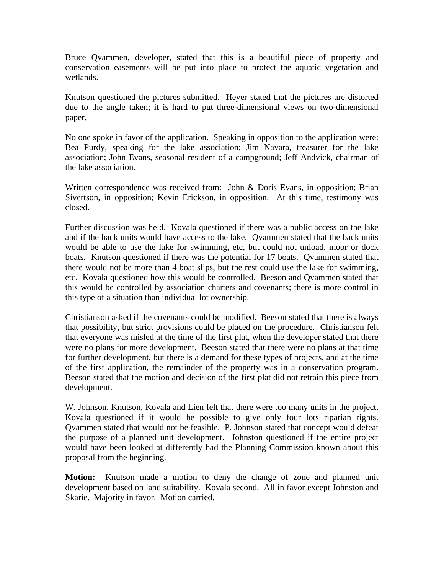Bruce Qvammen, developer, stated that this is a beautiful piece of property and conservation easements will be put into place to protect the aquatic vegetation and wetlands.

Knutson questioned the pictures submitted. Heyer stated that the pictures are distorted due to the angle taken; it is hard to put three-dimensional views on two-dimensional paper.

No one spoke in favor of the application. Speaking in opposition to the application were: Bea Purdy, speaking for the lake association; Jim Navara, treasurer for the lake association; John Evans, seasonal resident of a campground; Jeff Andvick, chairman of the lake association.

Written correspondence was received from: John & Doris Evans, in opposition; Brian Sivertson, in opposition; Kevin Erickson, in opposition. At this time, testimony was closed.

Further discussion was held. Kovala questioned if there was a public access on the lake and if the back units would have access to the lake. Qvammen stated that the back units would be able to use the lake for swimming, etc, but could not unload, moor or dock boats. Knutson questioned if there was the potential for 17 boats. Qvammen stated that there would not be more than 4 boat slips, but the rest could use the lake for swimming, etc. Kovala questioned how this would be controlled. Beeson and Qvammen stated that this would be controlled by association charters and covenants; there is more control in this type of a situation than individual lot ownership.

Christianson asked if the covenants could be modified. Beeson stated that there is always that possibility, but strict provisions could be placed on the procedure. Christianson felt that everyone was misled at the time of the first plat, when the developer stated that there were no plans for more development. Beeson stated that there were no plans at that time for further development, but there is a demand for these types of projects, and at the time of the first application, the remainder of the property was in a conservation program. Beeson stated that the motion and decision of the first plat did not retrain this piece from development.

W. Johnson, Knutson, Kovala and Lien felt that there were too many units in the project. Kovala questioned if it would be possible to give only four lots riparian rights. Qvammen stated that would not be feasible. P. Johnson stated that concept would defeat the purpose of a planned unit development. Johnston questioned if the entire project would have been looked at differently had the Planning Commission known about this proposal from the beginning.

**Motion:** Knutson made a motion to deny the change of zone and planned unit development based on land suitability. Kovala second. All in favor except Johnston and Skarie. Majority in favor. Motion carried.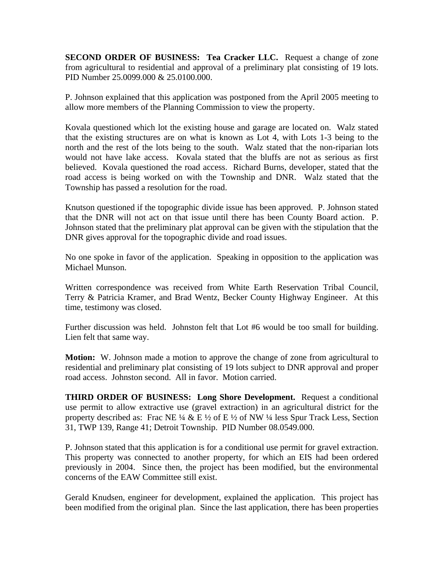**SECOND ORDER OF BUSINESS: Tea Cracker LLC.** Request a change of zone from agricultural to residential and approval of a preliminary plat consisting of 19 lots. PID Number 25.0099.000 & 25.0100.000.

P. Johnson explained that this application was postponed from the April 2005 meeting to allow more members of the Planning Commission to view the property.

Kovala questioned which lot the existing house and garage are located on. Walz stated that the existing structures are on what is known as Lot 4, with Lots 1-3 being to the north and the rest of the lots being to the south. Walz stated that the non-riparian lots would not have lake access. Kovala stated that the bluffs are not as serious as first believed. Kovala questioned the road access. Richard Burns, developer, stated that the road access is being worked on with the Township and DNR. Walz stated that the Township has passed a resolution for the road.

Knutson questioned if the topographic divide issue has been approved. P. Johnson stated that the DNR will not act on that issue until there has been County Board action. P. Johnson stated that the preliminary plat approval can be given with the stipulation that the DNR gives approval for the topographic divide and road issues.

No one spoke in favor of the application. Speaking in opposition to the application was Michael Munson.

Written correspondence was received from White Earth Reservation Tribal Council, Terry & Patricia Kramer, and Brad Wentz, Becker County Highway Engineer. At this time, testimony was closed.

Further discussion was held. Johnston felt that Lot #6 would be too small for building. Lien felt that same way.

**Motion:** W. Johnson made a motion to approve the change of zone from agricultural to residential and preliminary plat consisting of 19 lots subject to DNR approval and proper road access. Johnston second. All in favor. Motion carried.

**THIRD ORDER OF BUSINESS: Long Shore Development.** Request a conditional use permit to allow extractive use (gravel extraction) in an agricultural district for the property described as: Frac NE  $\frac{1}{4}$  & E  $\frac{1}{2}$  of E  $\frac{1}{2}$  of NW  $\frac{1}{4}$  less Spur Track Less, Section 31, TWP 139, Range 41; Detroit Township. PID Number 08.0549.000.

P. Johnson stated that this application is for a conditional use permit for gravel extraction. This property was connected to another property, for which an EIS had been ordered previously in 2004. Since then, the project has been modified, but the environmental concerns of the EAW Committee still exist.

Gerald Knudsen, engineer for development, explained the application. This project has been modified from the original plan. Since the last application, there has been properties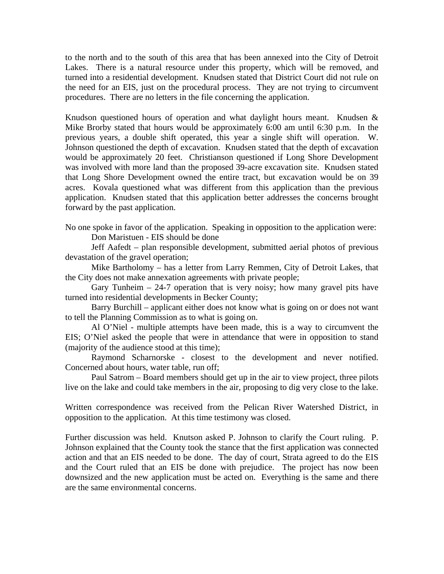to the north and to the south of this area that has been annexed into the City of Detroit Lakes. There is a natural resource under this property, which will be removed, and turned into a residential development. Knudsen stated that District Court did not rule on the need for an EIS, just on the procedural process. They are not trying to circumvent procedures. There are no letters in the file concerning the application.

Knudson questioned hours of operation and what daylight hours meant. Knudsen & Mike Brorby stated that hours would be approximately 6:00 am until 6:30 p.m. In the previous years, a double shift operated, this year a single shift will operation. W. Johnson questioned the depth of excavation. Knudsen stated that the depth of excavation would be approximately 20 feet. Christianson questioned if Long Shore Development was involved with more land than the proposed 39-acre excavation site. Knudsen stated that Long Shore Development owned the entire tract, but excavation would be on 39 acres. Kovala questioned what was different from this application than the previous application. Knudsen stated that this application better addresses the concerns brought forward by the past application.

No one spoke in favor of the application. Speaking in opposition to the application were: Don Maristuen - EIS should be done

Jeff Aafedt – plan responsible development, submitted aerial photos of previous devastation of the gravel operation;

Mike Bartholomy – has a letter from Larry Remmen, City of Detroit Lakes, that the City does not make annexation agreements with private people;

Gary Tunheim  $-24-7$  operation that is very noisy; how many gravel pits have turned into residential developments in Becker County;

Barry Burchill – applicant either does not know what is going on or does not want to tell the Planning Commission as to what is going on.

Al O'Niel - multiple attempts have been made, this is a way to circumvent the EIS; O'Niel asked the people that were in attendance that were in opposition to stand (majority of the audience stood at this time);

Raymond Scharnorske - closest to the development and never notified. Concerned about hours, water table, run off;

Paul Satrom – Board members should get up in the air to view project, three pilots live on the lake and could take members in the air, proposing to dig very close to the lake.

Written correspondence was received from the Pelican River Watershed District, in opposition to the application. At this time testimony was closed.

Further discussion was held. Knutson asked P. Johnson to clarify the Court ruling. P. Johnson explained that the County took the stance that the first application was connected action and that an EIS needed to be done. The day of court, Strata agreed to do the EIS and the Court ruled that an EIS be done with prejudice. The project has now been downsized and the new application must be acted on. Everything is the same and there are the same environmental concerns.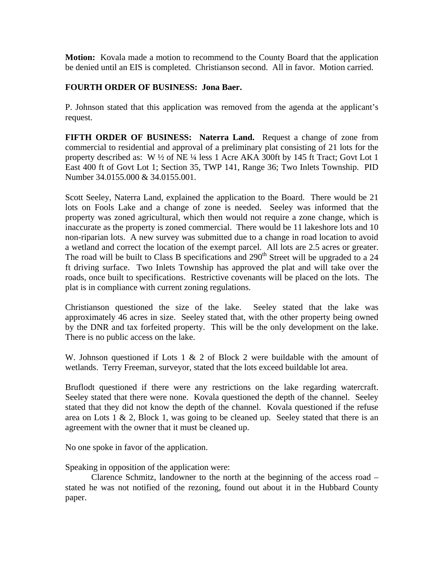**Motion:** Kovala made a motion to recommend to the County Board that the application be denied until an EIS is completed. Christianson second. All in favor. Motion carried.

## **FOURTH ORDER OF BUSINESS: Jona Baer.**

P. Johnson stated that this application was removed from the agenda at the applicant's request.

**FIFTH ORDER OF BUSINESS: Naterra Land.** Request a change of zone from commercial to residential and approval of a preliminary plat consisting of 21 lots for the property described as: W ½ of NE ¼ less 1 Acre AKA 300ft by 145 ft Tract; Govt Lot 1 East 400 ft of Govt Lot 1; Section 35, TWP 141, Range 36; Two Inlets Township. PID Number 34.0155.000 & 34.0155.001.

Scott Seeley, Naterra Land, explained the application to the Board. There would be 21 lots on Fools Lake and a change of zone is needed. Seeley was informed that the property was zoned agricultural, which then would not require a zone change, which is inaccurate as the property is zoned commercial. There would be 11 lakeshore lots and 10 non-riparian lots. A new survey was submitted due to a change in road location to avoid a wetland and correct the location of the exempt parcel. All lots are 2.5 acres or greater. The road will be built to Class B specifications and  $290<sup>th</sup>$  Street will be upgraded to a 24 ft driving surface. Two Inlets Township has approved the plat and will take over the roads, once built to specifications. Restrictive covenants will be placed on the lots. The plat is in compliance with current zoning regulations.

Christianson questioned the size of the lake. Seeley stated that the lake was approximately 46 acres in size. Seeley stated that, with the other property being owned by the DNR and tax forfeited property. This will be the only development on the lake. There is no public access on the lake.

W. Johnson questioned if Lots 1 & 2 of Block 2 were buildable with the amount of wetlands. Terry Freeman, surveyor, stated that the lots exceed buildable lot area.

Bruflodt questioned if there were any restrictions on the lake regarding watercraft. Seeley stated that there were none. Kovala questioned the depth of the channel. Seeley stated that they did not know the depth of the channel. Kovala questioned if the refuse area on Lots  $1 \& 2$ , Block 1, was going to be cleaned up. Seeley stated that there is an agreement with the owner that it must be cleaned up.

No one spoke in favor of the application.

Speaking in opposition of the application were:

 Clarence Schmitz, landowner to the north at the beginning of the access road – stated he was not notified of the rezoning, found out about it in the Hubbard County paper.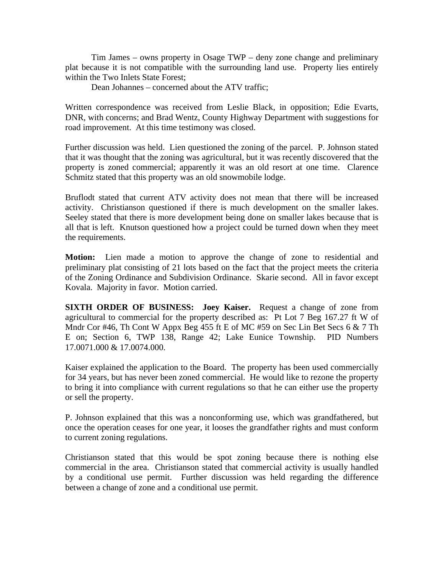Tim James – owns property in Osage TWP – deny zone change and preliminary plat because it is not compatible with the surrounding land use. Property lies entirely within the Two Inlets State Forest;

Dean Johannes – concerned about the ATV traffic;

Written correspondence was received from Leslie Black, in opposition; Edie Evarts, DNR, with concerns; and Brad Wentz, County Highway Department with suggestions for road improvement. At this time testimony was closed.

Further discussion was held. Lien questioned the zoning of the parcel. P. Johnson stated that it was thought that the zoning was agricultural, but it was recently discovered that the property is zoned commercial; apparently it was an old resort at one time. Clarence Schmitz stated that this property was an old snowmobile lodge.

Bruflodt stated that current ATV activity does not mean that there will be increased activity. Christianson questioned if there is much development on the smaller lakes. Seeley stated that there is more development being done on smaller lakes because that is all that is left. Knutson questioned how a project could be turned down when they meet the requirements.

**Motion:** Lien made a motion to approve the change of zone to residential and preliminary plat consisting of 21 lots based on the fact that the project meets the criteria of the Zoning Ordinance and Subdivision Ordinance. Skarie second. All in favor except Kovala. Majority in favor. Motion carried.

**SIXTH ORDER OF BUSINESS: Joey Kaiser.** Request a change of zone from agricultural to commercial for the property described as: Pt Lot 7 Beg 167.27 ft W of Mndr Cor #46, Th Cont W Appx Beg 455 ft E of MC #59 on Sec Lin Bet Secs 6 & 7 Th E on; Section 6, TWP 138, Range 42; Lake Eunice Township. PID Numbers 17.0071.000 & 17.0074.000.

Kaiser explained the application to the Board. The property has been used commercially for 34 years, but has never been zoned commercial. He would like to rezone the property to bring it into compliance with current regulations so that he can either use the property or sell the property.

P. Johnson explained that this was a nonconforming use, which was grandfathered, but once the operation ceases for one year, it looses the grandfather rights and must conform to current zoning regulations.

Christianson stated that this would be spot zoning because there is nothing else commercial in the area. Christianson stated that commercial activity is usually handled by a conditional use permit. Further discussion was held regarding the difference between a change of zone and a conditional use permit.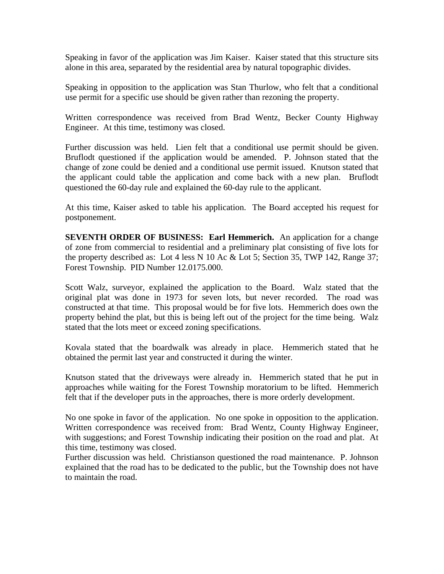Speaking in favor of the application was Jim Kaiser. Kaiser stated that this structure sits alone in this area, separated by the residential area by natural topographic divides.

Speaking in opposition to the application was Stan Thurlow, who felt that a conditional use permit for a specific use should be given rather than rezoning the property.

Written correspondence was received from Brad Wentz, Becker County Highway Engineer. At this time, testimony was closed.

Further discussion was held. Lien felt that a conditional use permit should be given. Bruflodt questioned if the application would be amended. P. Johnson stated that the change of zone could be denied and a conditional use permit issued. Knutson stated that the applicant could table the application and come back with a new plan. Bruflodt questioned the 60-day rule and explained the 60-day rule to the applicant.

At this time, Kaiser asked to table his application. The Board accepted his request for postponement.

**SEVENTH ORDER OF BUSINESS: Earl Hemmerich.** An application for a change of zone from commercial to residential and a preliminary plat consisting of five lots for the property described as: Lot 4 less N 10 Ac & Lot 5; Section 35, TWP 142, Range 37; Forest Township. PID Number 12.0175.000.

Scott Walz, surveyor, explained the application to the Board. Walz stated that the original plat was done in 1973 for seven lots, but never recorded. The road was constructed at that time. This proposal would be for five lots. Hemmerich does own the property behind the plat, but this is being left out of the project for the time being. Walz stated that the lots meet or exceed zoning specifications.

Kovala stated that the boardwalk was already in place. Hemmerich stated that he obtained the permit last year and constructed it during the winter.

Knutson stated that the driveways were already in. Hemmerich stated that he put in approaches while waiting for the Forest Township moratorium to be lifted. Hemmerich felt that if the developer puts in the approaches, there is more orderly development.

No one spoke in favor of the application. No one spoke in opposition to the application. Written correspondence was received from: Brad Wentz, County Highway Engineer, with suggestions; and Forest Township indicating their position on the road and plat. At this time, testimony was closed.

Further discussion was held. Christianson questioned the road maintenance. P. Johnson explained that the road has to be dedicated to the public, but the Township does not have to maintain the road.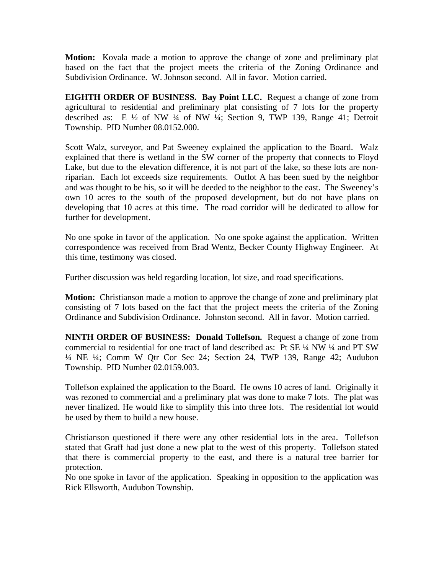**Motion:** Kovala made a motion to approve the change of zone and preliminary plat based on the fact that the project meets the criteria of the Zoning Ordinance and Subdivision Ordinance. W. Johnson second. All in favor. Motion carried.

**EIGHTH ORDER OF BUSINESS. Bay Point LLC.** Request a change of zone from agricultural to residential and preliminary plat consisting of 7 lots for the property described as: E ½ of NW ¼ of NW ¼; Section 9, TWP 139, Range 41; Detroit Township. PID Number 08.0152.000.

Scott Walz, surveyor, and Pat Sweeney explained the application to the Board. Walz explained that there is wetland in the SW corner of the property that connects to Floyd Lake, but due to the elevation difference, it is not part of the lake, so these lots are nonriparian. Each lot exceeds size requirements. Outlot A has been sued by the neighbor and was thought to be his, so it will be deeded to the neighbor to the east. The Sweeney's own 10 acres to the south of the proposed development, but do not have plans on developing that 10 acres at this time. The road corridor will be dedicated to allow for further for development.

No one spoke in favor of the application. No one spoke against the application. Written correspondence was received from Brad Wentz, Becker County Highway Engineer. At this time, testimony was closed.

Further discussion was held regarding location, lot size, and road specifications.

**Motion:** Christianson made a motion to approve the change of zone and preliminary plat consisting of 7 lots based on the fact that the project meets the criteria of the Zoning Ordinance and Subdivision Ordinance. Johnston second. All in favor. Motion carried.

**NINTH ORDER OF BUSINESS: Donald Tollefson.** Request a change of zone from commercial to residential for one tract of land described as: Pt SE ¼ NW ¼ and PT SW ¼ NE ¼; Comm W Qtr Cor Sec 24; Section 24, TWP 139, Range 42; Audubon Township. PID Number 02.0159.003.

Tollefson explained the application to the Board. He owns 10 acres of land. Originally it was rezoned to commercial and a preliminary plat was done to make 7 lots. The plat was never finalized. He would like to simplify this into three lots. The residential lot would be used by them to build a new house.

Christianson questioned if there were any other residential lots in the area. Tollefson stated that Graff had just done a new plat to the west of this property. Tollefson stated that there is commercial property to the east, and there is a natural tree barrier for protection.

No one spoke in favor of the application. Speaking in opposition to the application was Rick Ellsworth, Audubon Township.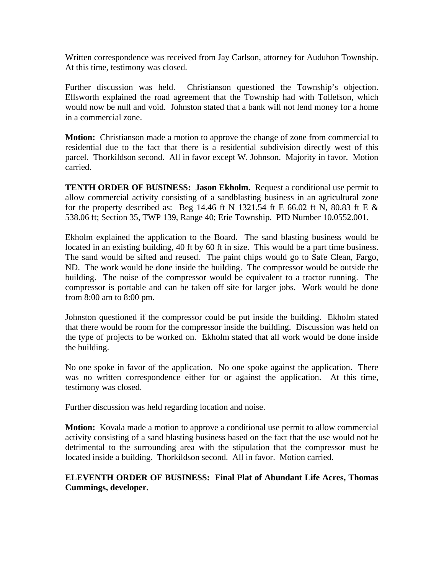Written correspondence was received from Jay Carlson, attorney for Audubon Township. At this time, testimony was closed.

Further discussion was held. Christianson questioned the Township's objection. Ellsworth explained the road agreement that the Township had with Tollefson, which would now be null and void. Johnston stated that a bank will not lend money for a home in a commercial zone.

**Motion:** Christianson made a motion to approve the change of zone from commercial to residential due to the fact that there is a residential subdivision directly west of this parcel. Thorkildson second. All in favor except W. Johnson. Majority in favor. Motion carried.

**TENTH ORDER OF BUSINESS: Jason Ekholm.** Request a conditional use permit to allow commercial activity consisting of a sandblasting business in an agricultural zone for the property described as: Beg 14.46 ft N 1321.54 ft E 66.02 ft N, 80.83 ft E  $\&$ 538.06 ft; Section 35, TWP 139, Range 40; Erie Township. PID Number 10.0552.001.

Ekholm explained the application to the Board. The sand blasting business would be located in an existing building, 40 ft by 60 ft in size. This would be a part time business. The sand would be sifted and reused. The paint chips would go to Safe Clean, Fargo, ND. The work would be done inside the building. The compressor would be outside the building. The noise of the compressor would be equivalent to a tractor running. The compressor is portable and can be taken off site for larger jobs. Work would be done from 8:00 am to 8:00 pm.

Johnston questioned if the compressor could be put inside the building. Ekholm stated that there would be room for the compressor inside the building. Discussion was held on the type of projects to be worked on. Ekholm stated that all work would be done inside the building.

No one spoke in favor of the application. No one spoke against the application. There was no written correspondence either for or against the application. At this time, testimony was closed.

Further discussion was held regarding location and noise.

**Motion:** Kovala made a motion to approve a conditional use permit to allow commercial activity consisting of a sand blasting business based on the fact that the use would not be detrimental to the surrounding area with the stipulation that the compressor must be located inside a building. Thorkildson second. All in favor. Motion carried.

## **ELEVENTH ORDER OF BUSINESS: Final Plat of Abundant Life Acres, Thomas Cummings, developer.**